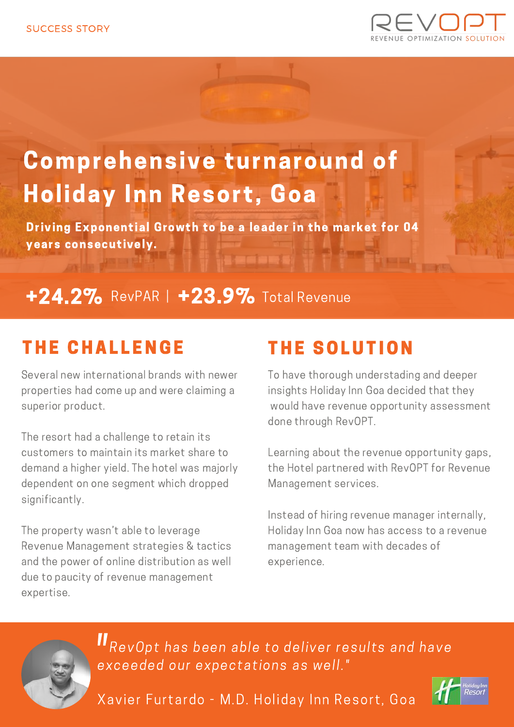

# Comprehensive turnaround of Holiday Inn Resort, Goa

Driving Exponential Growth to be a leader in the market for 04 years consecutively.

# +24.2% RevPAR | +23.9% Total Revenue

### **THE CHALLENGE**

Several new international brands with newer properties had come up and were claiming a superior product.

The resort had a challenge to retain its customers to maintain its market share to demand a higher yield. The hotel was majorly dependent on one segment which dropped significantly.

The property wasn't able to leverage Revenue Management strategies & tactics and the power of online distribution as well due to paucity of revenue management expertise.

## THE SOLUTION

To have thorough understading and deeper insights Holiday Inn Goa decided that they would have revenue opportunity assessment done through RevOPT.

Learning about the revenue opportunity gaps, the Hotel partnered with RevOPT for Revenue Management services.

Instead of hiring revenue manager internally, Holiday Inn Goa now has access to a revenue management team with decades of experience.



RevOpt has been able to deliver results and have exceeded our expectations as well." |<br>|<br>|<br>|

Xavier Furtardo - M.D. Holiday Inn Resort, Goa